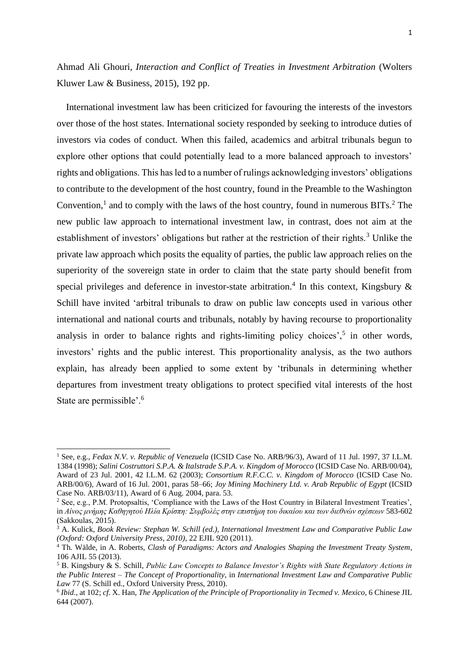Ahmad Ali Ghouri, *Interaction and Conflict of Treaties in Investment Arbitration* (Wolters Kluwer Law & Business, 2015), 192 pp.

International investment law has been criticized for favouring the interests of the investors over those of the host states. International society responded by seeking to introduce duties of investors via codes of conduct. When this failed, academics and arbitral tribunals begun to explore other options that could potentially lead to a more balanced approach to investors' rights and obligations. This has led to a number of rulings acknowledging investors' obligations to contribute to the development of the host country, found in the Preamble to the Washington Convention,<sup>1</sup> and to comply with the laws of the host country, found in numerous BITs.<sup>2</sup> The new public law approach to international investment law, in contrast, does not aim at the establishment of investors' obligations but rather at the restriction of their rights.<sup>3</sup> Unlike the private law approach which posits the equality of parties, the public law approach relies on the superiority of the sovereign state in order to claim that the state party should benefit from special privileges and deference in investor-state arbitration.<sup>4</sup> In this context, Kingsbury  $\&$ Schill have invited 'arbitral tribunals to draw on public law concepts used in various other international and national courts and tribunals, notably by having recourse to proportionality analysis in order to balance rights and rights-limiting policy choices', $5$  in other words, investors' rights and the public interest. This proportionality analysis, as the two authors explain, has already been applied to some extent by 'tribunals in determining whether departures from investment treaty obligations to protect specified vital interests of the host State are permissible'.<sup>6</sup>

-

<sup>1</sup> See, e.g., *Fedax N.V. v. Republic of Venezuela* (ICSID Case No. ARB/96/3), Award of 11 Jul. 1997, 37 I.L.M. 1384 (1998); *Salini Costruttori S.P.A. & Italstrade S.P.A. v. Kingdom of Morocco* (ICSID Case No. ARB/00/04), Award of 23 Jul. 2001, 42 I.L.M. 62 (2003); *Consortium R.F.C.C. v. Kingdom of Morocco* (ICSID Case No. ARB/00/6), Award of 16 Jul. 2001, paras 58–66; *Joy Mining Machinery Ltd. v. Arab Republic of Egypt* (ICSID Case No. ARB/03/11), Award of 6 Aug. 2004, para. 53.

<sup>2</sup> See, e.g., P.M. Protopsaltis, 'Compliance with the Laws of the Host Country in Bilateral Investment Treaties', in *Αίνος μνήμης Καθηγητού Ηλία Κρίσπη: Συμβολές στην επιστήμη του δικαίου και των διεθνών σχέσεων* 583-602 (Sakkoulas, 2015).

<sup>3</sup> A. Kulick, *Book Review: Stephan W. Schill (ed.), International Investment Law and Comparative Public Law (Oxford: Oxford University Press, 2010)*, 22 EJIL 920 (2011).

<sup>4</sup> Th. Wälde, in A. Roberts, *Clash of Paradigms: Actors and Analogies Shaping the Investment Treaty System*, 106 AJIL 55 (2013).

<sup>5</sup> B. Kingsbury & S. Schill, *Public Law Concepts to Balance Investor's Rights with State Regulatory Actions in the Public Interest – The Concept of Proportionality*, in *International Investment Law and Comparative Public Law* 77 (S. Schill ed., Oxford University Press, 2010).

<sup>6</sup> *Ibid*., at 102; *cf*. X. Han, *The Application of the Principle of Proportionality in Tecmed v. Mexico*, 6 Chinese JIL 644 (2007).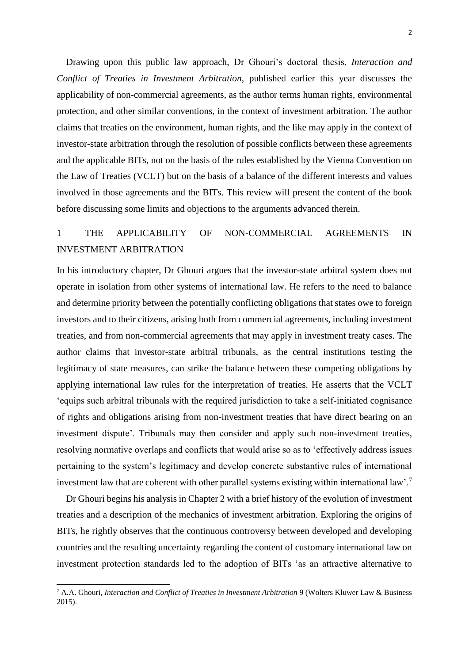Drawing upon this public law approach, Dr Ghouri's doctoral thesis, *Interaction and Conflict of Treaties in Investment Arbitration*, published earlier this year discusses the applicability of non-commercial agreements, as the author terms human rights, environmental protection, and other similar conventions, in the context of investment arbitration. The author claims that treaties on the environment, human rights, and the like may apply in the context of investor-state arbitration through the resolution of possible conflicts between these agreements and the applicable BITs, not on the basis of the rules established by the Vienna Convention on the Law of Treaties (VCLT) but on the basis of a balance of the different interests and values involved in those agreements and the BITs. This review will present the content of the book before discussing some limits and objections to the arguments advanced therein.

## 1 THE APPLICABILITY OF NON-COMMERCIAL AGREEMENTS IN INVESTMENT ARBITRATION

In his introductory chapter, Dr Ghouri argues that the investor-state arbitral system does not operate in isolation from other systems of international law. He refers to the need to balance and determine priority between the potentially conflicting obligations that states owe to foreign investors and to their citizens, arising both from commercial agreements, including investment treaties, and from non-commercial agreements that may apply in investment treaty cases. The author claims that investor-state arbitral tribunals, as the central institutions testing the legitimacy of state measures, can strike the balance between these competing obligations by applying international law rules for the interpretation of treaties. He asserts that the VCLT 'equips such arbitral tribunals with the required jurisdiction to take a self-initiated cognisance of rights and obligations arising from non-investment treaties that have direct bearing on an investment dispute'. Tribunals may then consider and apply such non-investment treaties, resolving normative overlaps and conflicts that would arise so as to 'effectively address issues pertaining to the system's legitimacy and develop concrete substantive rules of international investment law that are coherent with other parallel systems existing within international law'.<sup>7</sup>

Dr Ghouri begins his analysis in Chapter 2 with a brief history of the evolution of investment treaties and a description of the mechanics of investment arbitration. Exploring the origins of BITs, he rightly observes that the continuous controversy between developed and developing countries and the resulting uncertainty regarding the content of customary international law on investment protection standards led to the adoption of BITs 'as an attractive alternative to

-

<sup>7</sup> A.A. Ghouri, *Interaction and Conflict of Treaties in Investment Arbitration* 9 (Wolters Kluwer Law & Business 2015).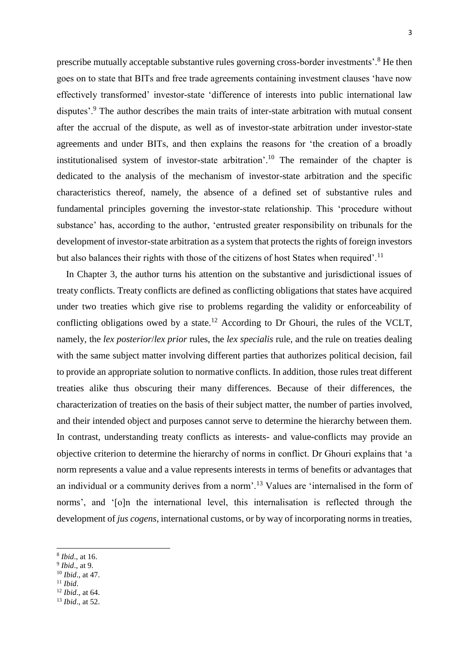prescribe mutually acceptable substantive rules governing cross-border investments'.<sup>8</sup> He then goes on to state that BITs and free trade agreements containing investment clauses 'have now effectively transformed' investor-state 'difference of interests into public international law disputes'.<sup>9</sup> The author describes the main traits of inter-state arbitration with mutual consent after the accrual of the dispute, as well as of investor-state arbitration under investor-state agreements and under BITs, and then explains the reasons for 'the creation of a broadly institutionalised system of investor-state arbitration'.<sup>10</sup> The remainder of the chapter is dedicated to the analysis of the mechanism of investor-state arbitration and the specific characteristics thereof, namely, the absence of a defined set of substantive rules and fundamental principles governing the investor-state relationship. This 'procedure without substance' has, according to the author, 'entrusted greater responsibility on tribunals for the development of investor-state arbitration as a system that protects the rights of foreign investors but also balances their rights with those of the citizens of host States when required'.<sup>11</sup>

In Chapter 3, the author turns his attention on the substantive and jurisdictional issues of treaty conflicts. Treaty conflicts are defined as conflicting obligations that states have acquired under two treaties which give rise to problems regarding the validity or enforceability of conflicting obligations owed by a state.<sup>12</sup> According to Dr Ghouri, the rules of the VCLT, namely, the *lex posterior*/*lex prior* rules, the *lex specialis* rule, and the rule on treaties dealing with the same subject matter involving different parties that authorizes political decision, fail to provide an appropriate solution to normative conflicts. In addition, those rules treat different treaties alike thus obscuring their many differences. Because of their differences, the characterization of treaties on the basis of their subject matter, the number of parties involved, and their intended object and purposes cannot serve to determine the hierarchy between them. In contrast, understanding treaty conflicts as interests- and value-conflicts may provide an objective criterion to determine the hierarchy of norms in conflict. Dr Ghouri explains that 'a norm represents a value and a value represents interests in terms of benefits or advantages that an individual or a community derives from a norm'.<sup>13</sup> Values are 'internalised in the form of norms', and '[o]n the international level, this internalisation is reflected through the development of *jus cogens*, international customs, or by way of incorporating norms in treaties,

- 9 *Ibid*., at 9.
- <sup>10</sup> *Ibid*., at 47.
- <sup>11</sup> *Ibid*.

1

<sup>12</sup> *Ibid*., at 64.

<sup>8</sup> *Ibid*., at 16.

<sup>13</sup> *Ibid*., at 52.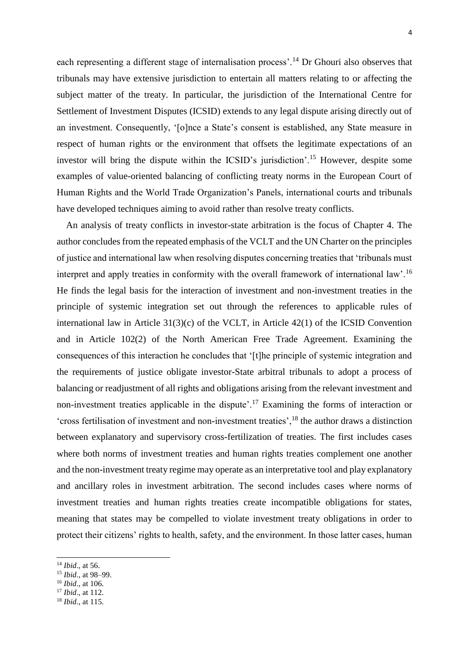each representing a different stage of internalisation process'.<sup>14</sup> Dr Ghouri also observes that tribunals may have extensive jurisdiction to entertain all matters relating to or affecting the subject matter of the treaty. In particular, the jurisdiction of the International Centre for Settlement of Investment Disputes (ICSID) extends to any legal dispute arising directly out of an investment. Consequently, '[o]nce a State's consent is established, any State measure in respect of human rights or the environment that offsets the legitimate expectations of an investor will bring the dispute within the ICSID's jurisdiction'.<sup>15</sup> However, despite some examples of value-oriented balancing of conflicting treaty norms in the European Court of Human Rights and the World Trade Organization's Panels, international courts and tribunals have developed techniques aiming to avoid rather than resolve treaty conflicts.

An analysis of treaty conflicts in investor-state arbitration is the focus of Chapter 4. The author concludes from the repeated emphasis of the VCLT and the UN Charter on the principles of justice and international law when resolving disputes concerning treaties that 'tribunals must interpret and apply treaties in conformity with the overall framework of international law'.<sup>16</sup> He finds the legal basis for the interaction of investment and non-investment treaties in the principle of systemic integration set out through the references to applicable rules of international law in Article 31(3)(c) of the VCLT, in Article 42(1) of the ICSID Convention and in Article 102(2) of the North American Free Trade Agreement. Examining the consequences of this interaction he concludes that '[t]he principle of systemic integration and the requirements of justice obligate investor-State arbitral tribunals to adopt a process of balancing or readjustment of all rights and obligations arising from the relevant investment and non-investment treaties applicable in the dispute'.<sup>17</sup> Examining the forms of interaction or 'cross fertilisation of investment and non-investment treaties',<sup>18</sup> the author draws a distinction between explanatory and supervisory cross-fertilization of treaties. The first includes cases where both norms of investment treaties and human rights treaties complement one another and the non-investment treaty regime may operate as an interpretative tool and play explanatory and ancillary roles in investment arbitration. The second includes cases where norms of investment treaties and human rights treaties create incompatible obligations for states, meaning that states may be compelled to violate investment treaty obligations in order to protect their citizens' rights to health, safety, and the environment. In those latter cases, human

-

<sup>16</sup> *Ibid*., at 106.

<sup>14</sup> *Ibid*., at 56.

<sup>15</sup> *Ibid*., at 98–99.

<sup>17</sup> *Ibid*., at 112.

<sup>18</sup> *Ibid*., at 115.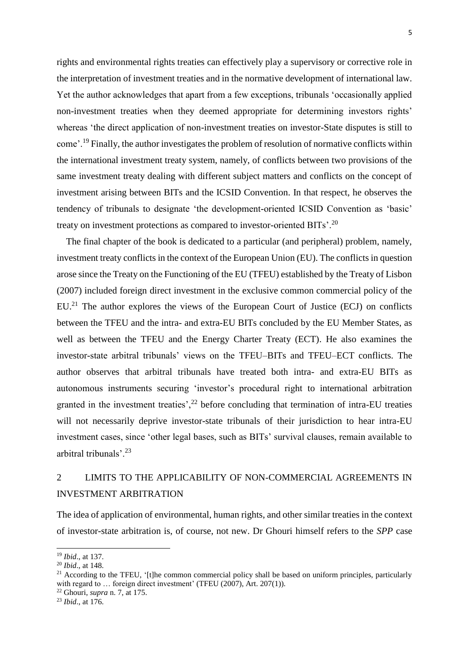rights and environmental rights treaties can effectively play a supervisory or corrective role in the interpretation of investment treaties and in the normative development of international law. Yet the author acknowledges that apart from a few exceptions, tribunals 'occasionally applied non-investment treaties when they deemed appropriate for determining investors rights' whereas 'the direct application of non-investment treaties on investor-State disputes is still to come'.<sup>19</sup> Finally, the author investigates the problem of resolution of normative conflicts within the international investment treaty system, namely, of conflicts between two provisions of the same investment treaty dealing with different subject matters and conflicts on the concept of investment arising between BITs and the ICSID Convention. In that respect, he observes the tendency of tribunals to designate 'the development-oriented ICSID Convention as 'basic' treaty on investment protections as compared to investor-oriented BITs'.<sup>20</sup>

The final chapter of the book is dedicated to a particular (and peripheral) problem, namely, investment treaty conflicts in the context of the European Union (EU). The conflicts in question arose since the Treaty on the Functioning of the EU (TFEU) established by the Treaty of Lisbon (2007) included foreign direct investment in the exclusive common commercial policy of the  $EU<sup>21</sup>$ . The author explores the views of the European Court of Justice (ECJ) on conflicts between the TFEU and the intra- and extra-EU BITs concluded by the EU Member States, as well as between the TFEU and the Energy Charter Treaty (ECT). He also examines the investor-state arbitral tribunals' views on the TFEU–BITs and TFEU–ECT conflicts. The author observes that arbitral tribunals have treated both intra- and extra-EU BITs as autonomous instruments securing 'investor's procedural right to international arbitration granted in the investment treaties',  $2<sup>2</sup>$  before concluding that termination of intra-EU treaties will not necessarily deprive investor-state tribunals of their jurisdiction to hear intra-EU investment cases, since 'other legal bases, such as BITs' survival clauses, remain available to arbitral tribunals'.<sup>23</sup>

## 2 LIMITS TO THE APPLICABILITY OF NON-COMMERCIAL AGREEMENTS IN INVESTMENT ARBITRATION

The idea of application of environmental, human rights, and other similar treaties in the context of investor-state arbitration is, of course, not new. Dr Ghouri himself refers to the *SPP* case

1

<sup>19</sup> *Ibid*., at 137.

<sup>20</sup> *Ibid*., at 148.

 $21$  According to the TFEU, '[t]he common commercial policy shall be based on uniform principles, particularly with regard to ... foreign direct investment' (TFEU (2007), Art. 207(1)).

<sup>22</sup> Ghouri, *supra* n. 7, at 175.

<sup>23</sup> *Ibid*., at 176.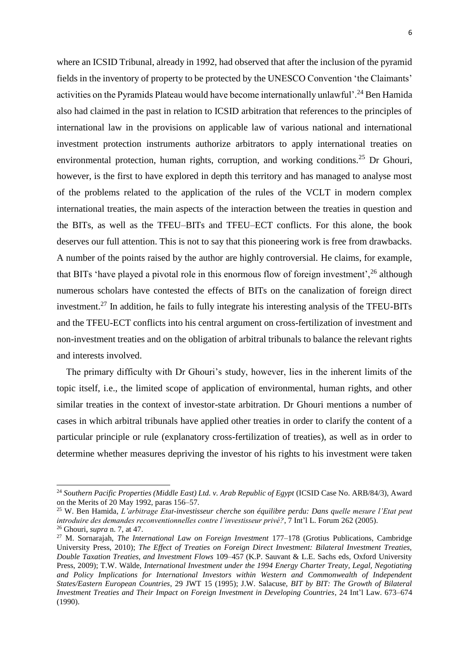where an ICSID Tribunal, already in 1992, had observed that after the inclusion of the pyramid fields in the inventory of property to be protected by the UNESCO Convention 'the Claimants' activities on the Pyramids Plateau would have become internationally unlawful'.<sup>24</sup> Ben Hamida also had claimed in the past in relation to ICSID arbitration that references to the principles of international law in the provisions on applicable law of various national and international investment protection instruments authorize arbitrators to apply international treaties on environmental protection, human rights, corruption, and working conditions.<sup>25</sup> Dr Ghouri, however, is the first to have explored in depth this territory and has managed to analyse most of the problems related to the application of the rules of the VCLT in modern complex international treaties, the main aspects of the interaction between the treaties in question and the BITs, as well as the TFEU–BITs and TFEU–ECT conflicts. For this alone, the book deserves our full attention. This is not to say that this pioneering work is free from drawbacks. A number of the points raised by the author are highly controversial. He claims, for example, that BITs 'have played a pivotal role in this enormous flow of foreign investment',<sup>26</sup> although numerous scholars have contested the effects of BITs on the canalization of foreign direct investment.<sup>27</sup> In addition, he fails to fully integrate his interesting analysis of the TFEU-BITs and the TFEU-ECT conflicts into his central argument on cross-fertilization of investment and non-investment treaties and on the obligation of arbitral tribunals to balance the relevant rights and interests involved.

The primary difficulty with Dr Ghouri's study, however, lies in the inherent limits of the topic itself, i.e., the limited scope of application of environmental, human rights, and other similar treaties in the context of investor-state arbitration. Dr Ghouri mentions a number of cases in which arbitral tribunals have applied other treaties in order to clarify the content of a particular principle or rule (explanatory cross-fertilization of treaties), as well as in order to determine whether measures depriving the investor of his rights to his investment were taken

<sup>24</sup> *Southern Pacific Properties (Middle East) Ltd. v. Arab Republic of Egypt* (ICSID Case No. ARB/84/3), Award on the Merits of 20 May 1992, paras 156–57.

<sup>25</sup> W. Ben Hamida, *L'arbitrage Etat-investisseur cherche son équilibre perdu: Dans quelle mesure l'Etat peut introduire des demandes reconventionnelles contre l'investisseur privé?*, 7 Int'l L. Forum 262 (2005).

<sup>26</sup> Ghouri, *supra* n. 7, at 47.

<sup>27</sup> M. Sornarajah, *The International Law on Foreign Investment* 177–178 (Grotius Publications, Cambridge University Press, 2010); *The Effect of Treaties on Foreign Direct Investment: Bilateral Investment Treaties, Double Taxation Treaties, and Investment Flows* 109–457 (K.P. Sauvant & L.E. Sachs eds, Oxford University Press, 2009); T.W. Wälde, *International Investment under the 1994 Energy Charter Treaty, Legal, Negotiating*  and Policy Implications for International Investors within Western and Commonwealth of Independent *States/Eastern European Countries*, 29 JWT 15 (1995); J.W. Salacuse, *BIT by BIT: The Growth of Bilateral Investment Treaties and Their Impact on Foreign Investment in Developing Countries*, 24 Int'l Law. 673–674 (1990).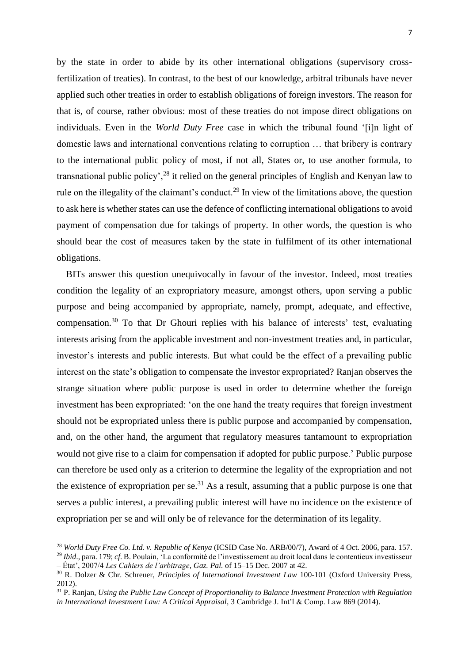by the state in order to abide by its other international obligations (supervisory crossfertilization of treaties). In contrast, to the best of our knowledge, arbitral tribunals have never applied such other treaties in order to establish obligations of foreign investors. The reason for that is, of course, rather obvious: most of these treaties do not impose direct obligations on individuals. Even in the *World Duty Free* case in which the tribunal found '[i]n light of domestic laws and international conventions relating to corruption … that bribery is contrary to the international public policy of most, if not all, States or, to use another formula, to transnational public policy',  $^{28}$  it relied on the general principles of English and Kenyan law to rule on the illegality of the claimant's conduct.<sup>29</sup> In view of the limitations above, the question to ask here is whether states can use the defence of conflicting international obligations to avoid payment of compensation due for takings of property. In other words, the question is who should bear the cost of measures taken by the state in fulfilment of its other international obligations.

BITs answer this question unequivocally in favour of the investor. Indeed, most treaties condition the legality of an expropriatory measure, amongst others, upon serving a public purpose and being accompanied by appropriate, namely, prompt, adequate, and effective, compensation.<sup>30</sup> To that Dr Ghouri replies with his balance of interests' test, evaluating interests arising from the applicable investment and non-investment treaties and, in particular, investor's interests and public interests. But what could be the effect of a prevailing public interest on the state's obligation to compensate the investor expropriated? Ranjan observes the strange situation where public purpose is used in order to determine whether the foreign investment has been expropriated: 'on the one hand the treaty requires that foreign investment should not be expropriated unless there is public purpose and accompanied by compensation, and, on the other hand, the argument that regulatory measures tantamount to expropriation would not give rise to a claim for compensation if adopted for public purpose.' Public purpose can therefore be used only as a criterion to determine the legality of the expropriation and not the existence of expropriation per se.<sup>31</sup> As a result, assuming that a public purpose is one that serves a public interest, a prevailing public interest will have no incidence on the existence of expropriation per se and will only be of relevance for the determination of its legality.

<sup>28</sup> *World Duty Free Co. Ltd. v. Republic of Kenya* (ICSID Case No. ARB/00/7), Award of 4 Oct. 2006, para. 157. <sup>29</sup> *Ibid*., para. 179; *cf*. B. Poulain, 'La conformité de l'investissement au droit local dans le contentieux investisseur

<sup>–</sup> État', 2007/4 *Les Cahiers de l'arbitrage*, *Gaz. Pal.* of 15–15 Dec. 2007 at 42.

<sup>30</sup> R. Dolzer & Chr. Schreuer, *Principles of International Investment Law* 100-101 (Oxford University Press, 2012).

<sup>31</sup> P. Ranjan, *Using the Public Law Concept of Proportionality to Balance Investment Protection with Regulation in International Investment Law: A Critical Appraisal*, 3 Cambridge J. Int'l & Comp. Law 869 (2014).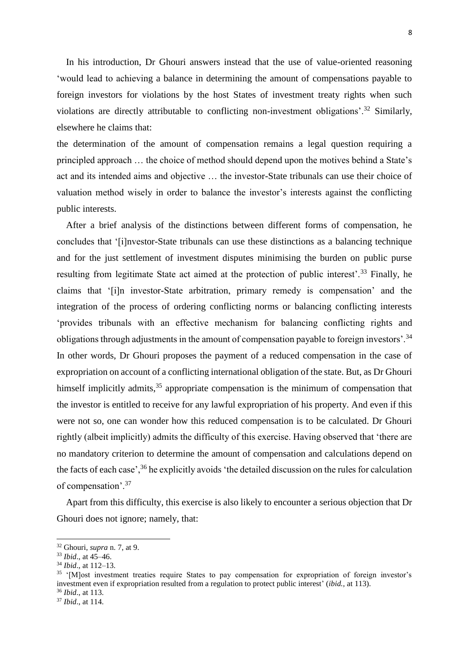In his introduction, Dr Ghouri answers instead that the use of value-oriented reasoning 'would lead to achieving a balance in determining the amount of compensations payable to foreign investors for violations by the host States of investment treaty rights when such violations are directly attributable to conflicting non-investment obligations'.<sup>32</sup> Similarly, elsewhere he claims that:

the determination of the amount of compensation remains a legal question requiring a principled approach … the choice of method should depend upon the motives behind a State's act and its intended aims and objective … the investor-State tribunals can use their choice of valuation method wisely in order to balance the investor's interests against the conflicting public interests.

After a brief analysis of the distinctions between different forms of compensation, he concludes that '[i]nvestor-State tribunals can use these distinctions as a balancing technique and for the just settlement of investment disputes minimising the burden on public purse resulting from legitimate State act aimed at the protection of public interest'.<sup>33</sup> Finally, he claims that '[i]n investor-State arbitration, primary remedy is compensation' and the integration of the process of ordering conflicting norms or balancing conflicting interests 'provides tribunals with an effective mechanism for balancing conflicting rights and obligations through adjustments in the amount of compensation payable to foreign investors'.<sup>34</sup> In other words, Dr Ghouri proposes the payment of a reduced compensation in the case of expropriation on account of a conflicting international obligation of the state. But, as Dr Ghouri himself implicitly admits,  $35$  appropriate compensation is the minimum of compensation that the investor is entitled to receive for any lawful expropriation of his property. And even if this were not so, one can wonder how this reduced compensation is to be calculated. Dr Ghouri rightly (albeit implicitly) admits the difficulty of this exercise. Having observed that 'there are no mandatory criterion to determine the amount of compensation and calculations depend on the facts of each case',<sup>36</sup> he explicitly avoids 'the detailed discussion on the rules for calculation of compensation'.<sup>37</sup>

Apart from this difficulty, this exercise is also likely to encounter a serious objection that Dr Ghouri does not ignore; namely, that:

<sup>32</sup> Ghouri, *supra* n. 7, at 9.

<sup>33</sup> *Ibid*., at 45–46.

<sup>34</sup> *Ibid*., at 112–13.

<sup>&</sup>lt;sup>35</sup> '[M]ost investment treaties require States to pay compensation for expropriation of foreign investor's investment even if expropriation resulted from a regulation to protect public interest' (*ibid.,* at 113).

<sup>36</sup> *Ibid*., at 113.

<sup>37</sup> *Ibid*., at 114.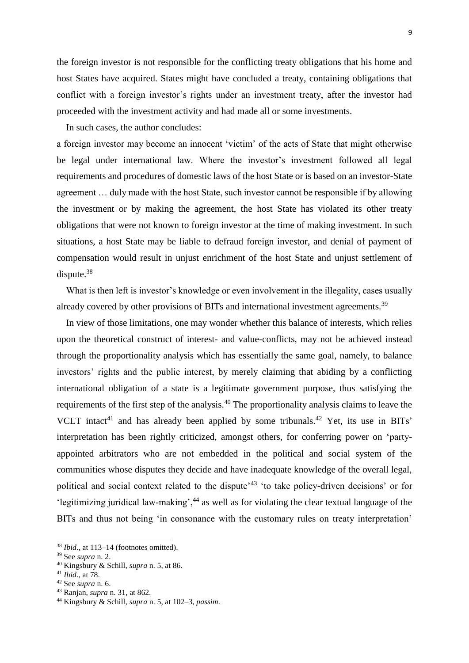the foreign investor is not responsible for the conflicting treaty obligations that his home and host States have acquired. States might have concluded a treaty, containing obligations that conflict with a foreign investor's rights under an investment treaty, after the investor had proceeded with the investment activity and had made all or some investments.

In such cases, the author concludes:

a foreign investor may become an innocent 'victim' of the acts of State that might otherwise be legal under international law. Where the investor's investment followed all legal requirements and procedures of domestic laws of the host State or is based on an investor-State agreement … duly made with the host State, such investor cannot be responsible if by allowing the investment or by making the agreement, the host State has violated its other treaty obligations that were not known to foreign investor at the time of making investment. In such situations, a host State may be liable to defraud foreign investor, and denial of payment of compensation would result in unjust enrichment of the host State and unjust settlement of dispute.<sup>38</sup>

What is then left is investor's knowledge or even involvement in the illegality, cases usually already covered by other provisions of BITs and international investment agreements.<sup>39</sup>

In view of those limitations, one may wonder whether this balance of interests, which relies upon the theoretical construct of interest- and value-conflicts, may not be achieved instead through the proportionality analysis which has essentially the same goal, namely, to balance investors' rights and the public interest, by merely claiming that abiding by a conflicting international obligation of a state is a legitimate government purpose, thus satisfying the requirements of the first step of the analysis.<sup>40</sup> The proportionality analysis claims to leave the VCLT intact<sup>41</sup> and has already been applied by some tribunals.<sup>42</sup> Yet, its use in BITs' interpretation has been rightly criticized, amongst others, for conferring power on 'partyappointed arbitrators who are not embedded in the political and social system of the communities whose disputes they decide and have inadequate knowledge of the overall legal, political and social context related to the dispute<sup>'43</sup> 'to take policy-driven decisions' or for 'legitimizing juridical law-making',<sup>44</sup> as well as for violating the clear textual language of the BITs and thus not being 'in consonance with the customary rules on treaty interpretation'

<sup>38</sup> *Ibid*., at 113–14 (footnotes omitted).

<sup>39</sup> See *supra* n. 2.

<sup>40</sup> Kingsbury & Schill, *supra* n. 5, at 86.

<sup>41</sup> *Ibid*., at 78.

<sup>42</sup> See *supra* n. 6.

<sup>43</sup> Ranjan, *supra* n. 31, at 862.

<sup>44</sup> Kingsbury & Schill, *supra* n. 5, at 102–3, *passim*.